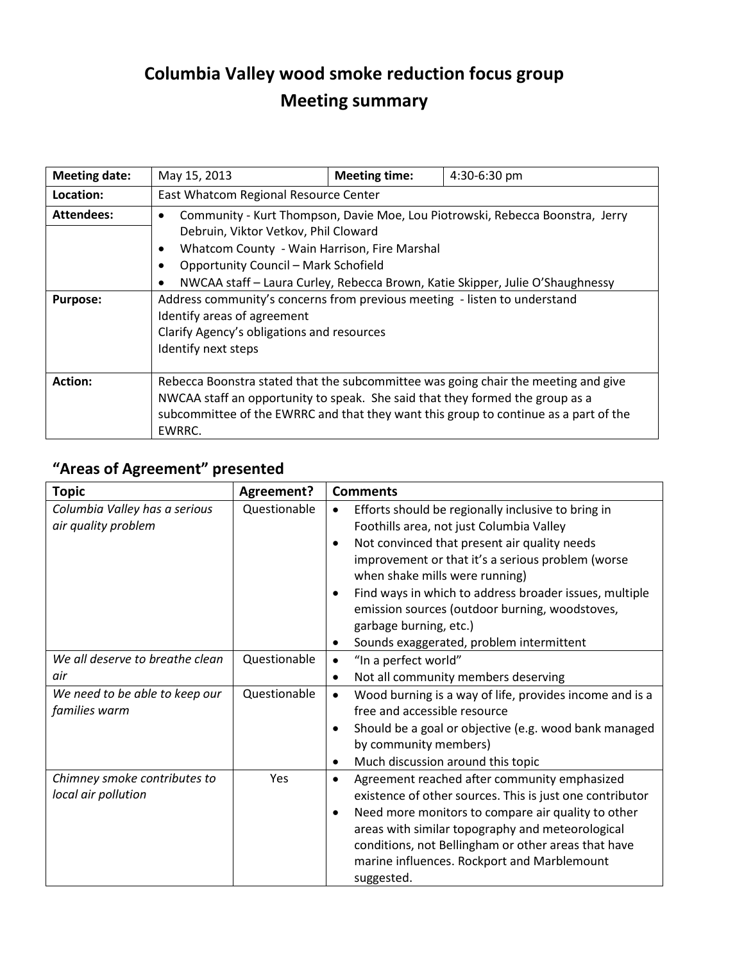## **Columbia Valley wood smoke reduction focus group Meeting summary**

| <b>Meeting date:</b> | May 15, 2013                                                                               | <b>Meeting time:</b> | 4:30-6:30 pm |  |  |
|----------------------|--------------------------------------------------------------------------------------------|----------------------|--------------|--|--|
| Location:            | East Whatcom Regional Resource Center                                                      |                      |              |  |  |
| Attendees:           | Community - Kurt Thompson, Davie Moe, Lou Piotrowski, Rebecca Boonstra, Jerry              |                      |              |  |  |
|                      | Debruin, Viktor Vetkov, Phil Cloward                                                       |                      |              |  |  |
|                      | Whatcom County - Wain Harrison, Fire Marshal<br>$\bullet$                                  |                      |              |  |  |
|                      | <b>Opportunity Council - Mark Schofield</b>                                                |                      |              |  |  |
|                      | NWCAA staff - Laura Curley, Rebecca Brown, Katie Skipper, Julie O'Shaughnessy<br>$\bullet$ |                      |              |  |  |
| <b>Purpose:</b>      | Address community's concerns from previous meeting - listen to understand                  |                      |              |  |  |
|                      | Identify areas of agreement                                                                |                      |              |  |  |
|                      | Clarify Agency's obligations and resources                                                 |                      |              |  |  |
|                      | Identify next steps                                                                        |                      |              |  |  |
|                      |                                                                                            |                      |              |  |  |
| <b>Action:</b>       | Rebecca Boonstra stated that the subcommittee was going chair the meeting and give         |                      |              |  |  |
|                      | NWCAA staff an opportunity to speak. She said that they formed the group as a              |                      |              |  |  |
|                      | subcommittee of the EWRRC and that they want this group to continue as a part of the       |                      |              |  |  |
|                      | EWRRC.                                                                                     |                      |              |  |  |

## **"Areas of Agreement" presented**

| <b>Topic</b>                    | Agreement?   | <b>Comments</b>                                                      |  |
|---------------------------------|--------------|----------------------------------------------------------------------|--|
| Columbia Valley has a serious   | Questionable | Efforts should be regionally inclusive to bring in<br>٠              |  |
| air quality problem             |              | Foothills area, not just Columbia Valley                             |  |
|                                 |              | Not convinced that present air quality needs<br>$\bullet$            |  |
|                                 |              | improvement or that it's a serious problem (worse                    |  |
|                                 |              | when shake mills were running)                                       |  |
|                                 |              | Find ways in which to address broader issues, multiple               |  |
|                                 |              | emission sources (outdoor burning, woodstoves,                       |  |
|                                 |              | garbage burning, etc.)                                               |  |
|                                 |              | Sounds exaggerated, problem intermittent<br>٠                        |  |
| We all deserve to breathe clean | Questionable | "In a perfect world"                                                 |  |
| air                             |              | Not all community members deserving<br>$\bullet$                     |  |
| We need to be able to keep our  | Questionable | Wood burning is a way of life, provides income and is a<br>$\bullet$ |  |
| families warm                   |              | free and accessible resource                                         |  |
|                                 |              | Should be a goal or objective (e.g. wood bank managed                |  |
|                                 |              | by community members)                                                |  |
|                                 |              | Much discussion around this topic<br>٠                               |  |
| Chimney smoke contributes to    | Yes          | Agreement reached after community emphasized<br>$\bullet$            |  |
| local air pollution             |              | existence of other sources. This is just one contributor             |  |
|                                 |              | Need more monitors to compare air quality to other                   |  |
|                                 |              | areas with similar topography and meteorological                     |  |
|                                 |              | conditions, not Bellingham or other areas that have                  |  |
|                                 |              | marine influences. Rockport and Marblemount                          |  |
|                                 |              | suggested.                                                           |  |